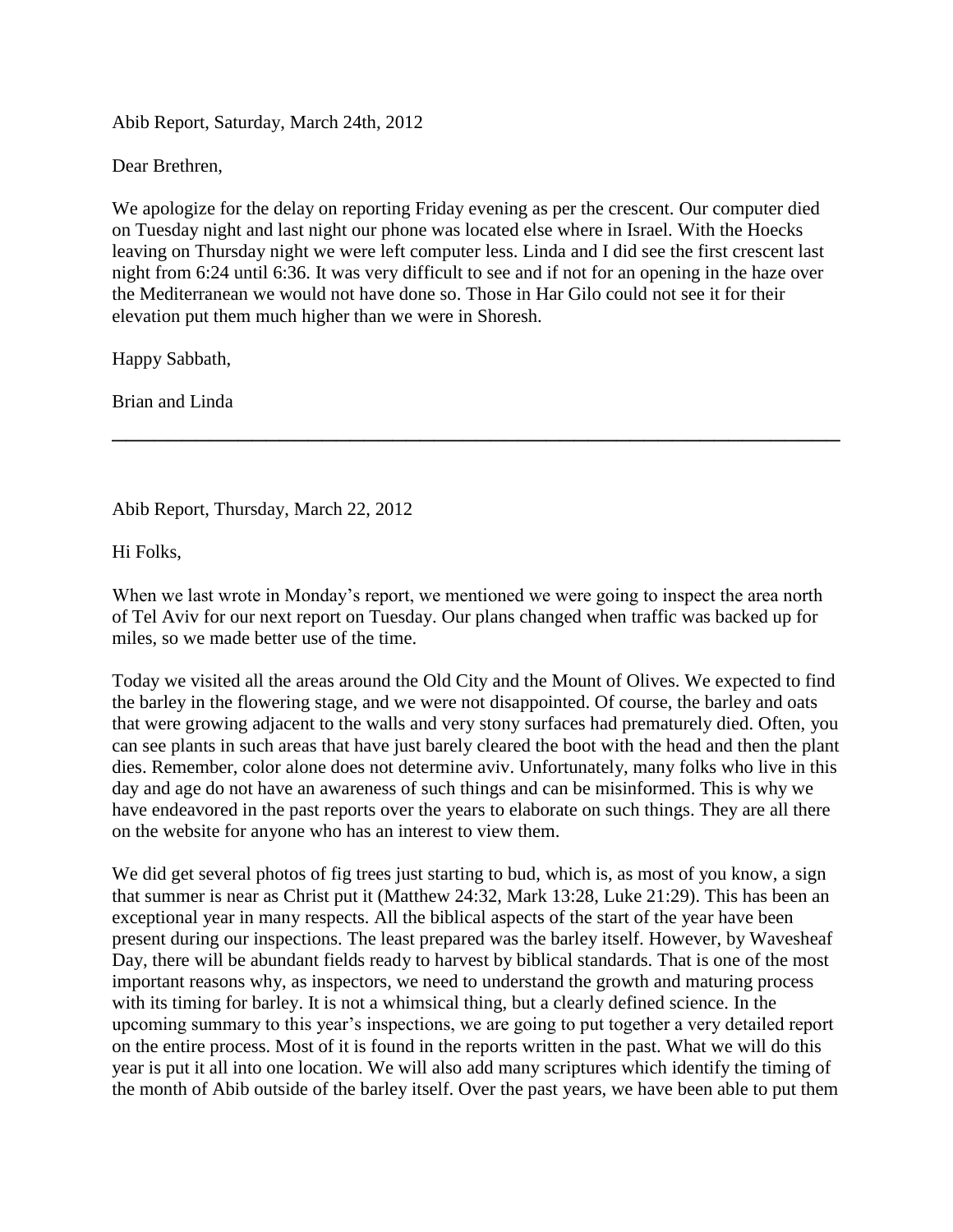Abib Report, Saturday, March 24th, 2012

Dear Brethren,

We apologize for the delay on reporting Friday evening as per the crescent. Our computer died on Tuesday night and last night our phone was located else where in Israel. With the Hoecks leaving on Thursday night we were left computer less. Linda and I did see the first crescent last night from 6:24 until 6:36. It was very difficult to see and if not for an opening in the haze over the Mediterranean we would not have done so. Those in Har Gilo could not see it for their elevation put them much higher than we were in Shoresh.

\_\_\_\_\_\_\_\_\_\_\_\_\_\_\_\_\_\_\_\_\_\_\_\_\_\_\_\_\_\_\_\_\_\_\_\_\_\_\_\_\_\_\_\_\_\_\_\_\_\_\_\_

Happy Sabbath,

Brian and Linda

Abib Report, Thursday, March 22, 2012

Hi Folks,

When we last wrote in Monday's report, we mentioned we were going to inspect the area north of Tel Aviv for our next report on Tuesday. Our plans changed when traffic was backed up for miles, so we made better use of the time.

Today we visited all the areas around the Old City and the Mount of Olives. We expected to find the barley in the flowering stage, and we were not disappointed. Of course, the barley and oats that were growing adjacent to the walls and very stony surfaces had prematurely died. Often, you can see plants in such areas that have just barely cleared the boot with the head and then the plant dies. Remember, color alone does not determine aviv. Unfortunately, many folks who live in this day and age do not have an awareness of such things and can be misinformed. This is why we have endeavored in the past reports over the years to elaborate on such things. They are all there on the website for anyone who has an interest to view them.

We did get several photos of fig trees just starting to bud, which is, as most of you know, a sign that summer is near as Christ put it (Matthew 24:32, Mark 13:28, Luke 21:29). This has been an exceptional year in many respects. All the biblical aspects of the start of the year have been present during our inspections. The least prepared was the barley itself. However, by Wavesheaf Day, there will be abundant fields ready to harvest by biblical standards. That is one of the most important reasons why, as inspectors, we need to understand the growth and maturing process with its timing for barley. It is not a whimsical thing, but a clearly defined science. In the upcoming summary to this year's inspections, we are going to put together a very detailed report on the entire process. Most of it is found in the reports written in the past. What we will do this year is put it all into one location. We will also add many scriptures which identify the timing of the month of Abib outside of the barley itself. Over the past years, we have been able to put them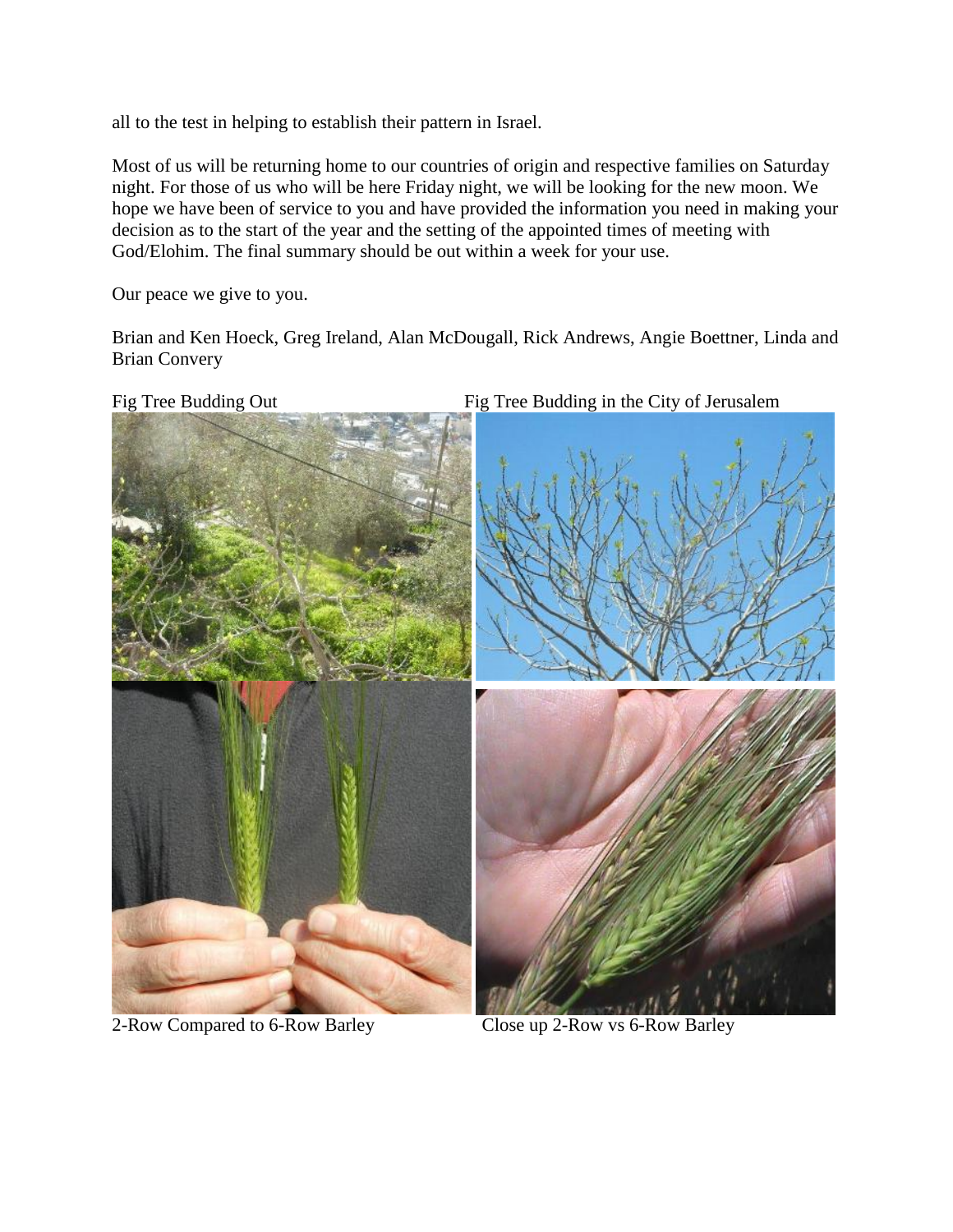all to the test in helping to establish their pattern in Israel.

Most of us will be returning home to our countries of origin and respective families on Saturday night. For those of us who will be here Friday night, we will be looking for the new moon. We hope we have been of service to you and have provided the information you need in making your decision as to the start of the year and the setting of the appointed times of meeting with God/Elohim. The final summary should be out within a week for your use.

Our peace we give to you.

Brian and Ken Hoeck, Greg Ireland, Alan McDougall, Rick Andrews, Angie Boettner, Linda and Brian Convery



2-Row Compared to 6-Row Barley Close up 2-Row vs 6-Row Barley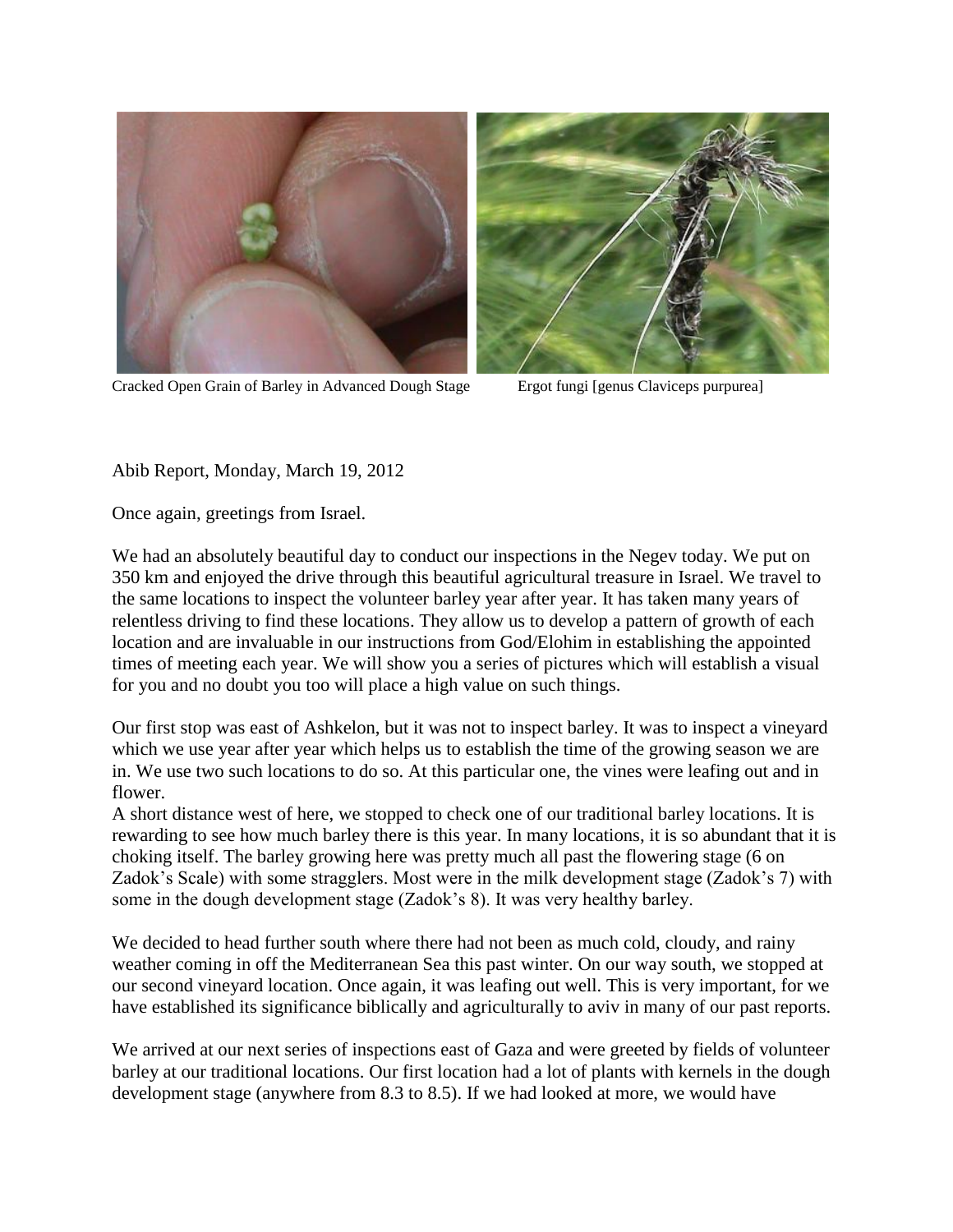

Cracked Open Grain of Barley in Advanced Dough Stage Ergot fungi [genus Claviceps purpurea]



Abib Report, Monday, March 19, 2012

Once again, greetings from Israel.

We had an absolutely beautiful day to conduct our inspections in the Negev today. We put on 350 km and enjoyed the drive through this beautiful agricultural treasure in Israel. We travel to the same locations to inspect the volunteer barley year after year. It has taken many years of relentless driving to find these locations. They allow us to develop a pattern of growth of each location and are invaluable in our instructions from God/Elohim in establishing the appointed times of meeting each year. We will show you a series of pictures which will establish a visual for you and no doubt you too will place a high value on such things.

Our first stop was east of Ashkelon, but it was not to inspect barley. It was to inspect a vineyard which we use year after year which helps us to establish the time of the growing season we are in. We use two such locations to do so. At this particular one, the vines were leafing out and in flower.

A short distance west of here, we stopped to check one of our traditional barley locations. It is rewarding to see how much barley there is this year. In many locations, it is so abundant that it is choking itself. The barley growing here was pretty much all past the flowering stage (6 on Zadok's Scale) with some stragglers. Most were in the milk development stage (Zadok's 7) with some in the dough development stage (Zadok's 8). It was very healthy barley.

We decided to head further south where there had not been as much cold, cloudy, and rainy weather coming in off the Mediterranean Sea this past winter. On our way south, we stopped at our second vineyard location. Once again, it was leafing out well. This is very important, for we have established its significance biblically and agriculturally to aviv in many of our past reports.

We arrived at our next series of inspections east of Gaza and were greeted by fields of volunteer barley at our traditional locations. Our first location had a lot of plants with kernels in the dough development stage (anywhere from 8.3 to 8.5). If we had looked at more, we would have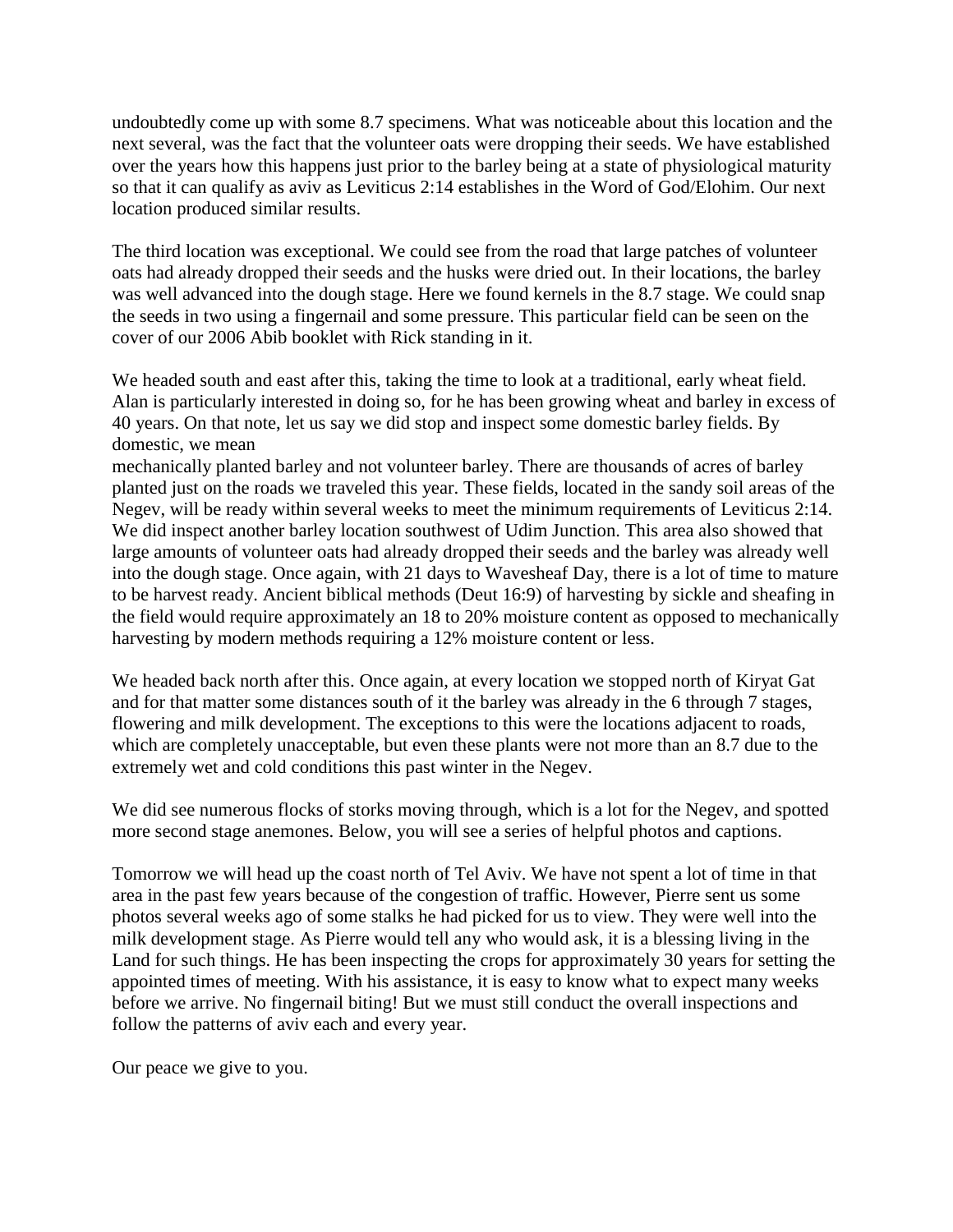undoubtedly come up with some 8.7 specimens. What was noticeable about this location and the next several, was the fact that the volunteer oats were dropping their seeds. We have established over the years how this happens just prior to the barley being at a state of physiological maturity so that it can qualify as aviv as Leviticus 2:14 establishes in the Word of God/Elohim. Our next location produced similar results.

The third location was exceptional. We could see from the road that large patches of volunteer oats had already dropped their seeds and the husks were dried out. In their locations, the barley was well advanced into the dough stage. Here we found kernels in the 8.7 stage. We could snap the seeds in two using a fingernail and some pressure. This particular field can be seen on the cover of our 2006 Abib booklet with Rick standing in it.

We headed south and east after this, taking the time to look at a traditional, early wheat field. Alan is particularly interested in doing so, for he has been growing wheat and barley in excess of 40 years. On that note, let us say we did stop and inspect some domestic barley fields. By domestic, we mean

mechanically planted barley and not volunteer barley. There are thousands of acres of barley planted just on the roads we traveled this year. These fields, located in the sandy soil areas of the Negev, will be ready within several weeks to meet the minimum requirements of Leviticus 2:14. We did inspect another barley location southwest of Udim Junction. This area also showed that large amounts of volunteer oats had already dropped their seeds and the barley was already well into the dough stage. Once again, with 21 days to Wavesheaf Day, there is a lot of time to mature to be harvest ready. Ancient biblical methods (Deut 16:9) of harvesting by sickle and sheafing in the field would require approximately an 18 to 20% moisture content as opposed to mechanically harvesting by modern methods requiring a 12% moisture content or less.

We headed back north after this. Once again, at every location we stopped north of Kiryat Gat and for that matter some distances south of it the barley was already in the 6 through 7 stages, flowering and milk development. The exceptions to this were the locations adjacent to roads, which are completely unacceptable, but even these plants were not more than an 8.7 due to the extremely wet and cold conditions this past winter in the Negev.

We did see numerous flocks of storks moving through, which is a lot for the Negev, and spotted more second stage anemones. Below, you will see a series of helpful photos and captions.

Tomorrow we will head up the coast north of Tel Aviv. We have not spent a lot of time in that area in the past few years because of the congestion of traffic. However, Pierre sent us some photos several weeks ago of some stalks he had picked for us to view. They were well into the milk development stage. As Pierre would tell any who would ask, it is a blessing living in the Land for such things. He has been inspecting the crops for approximately 30 years for setting the appointed times of meeting. With his assistance, it is easy to know what to expect many weeks before we arrive. No fingernail biting! But we must still conduct the overall inspections and follow the patterns of aviv each and every year.

Our peace we give to you.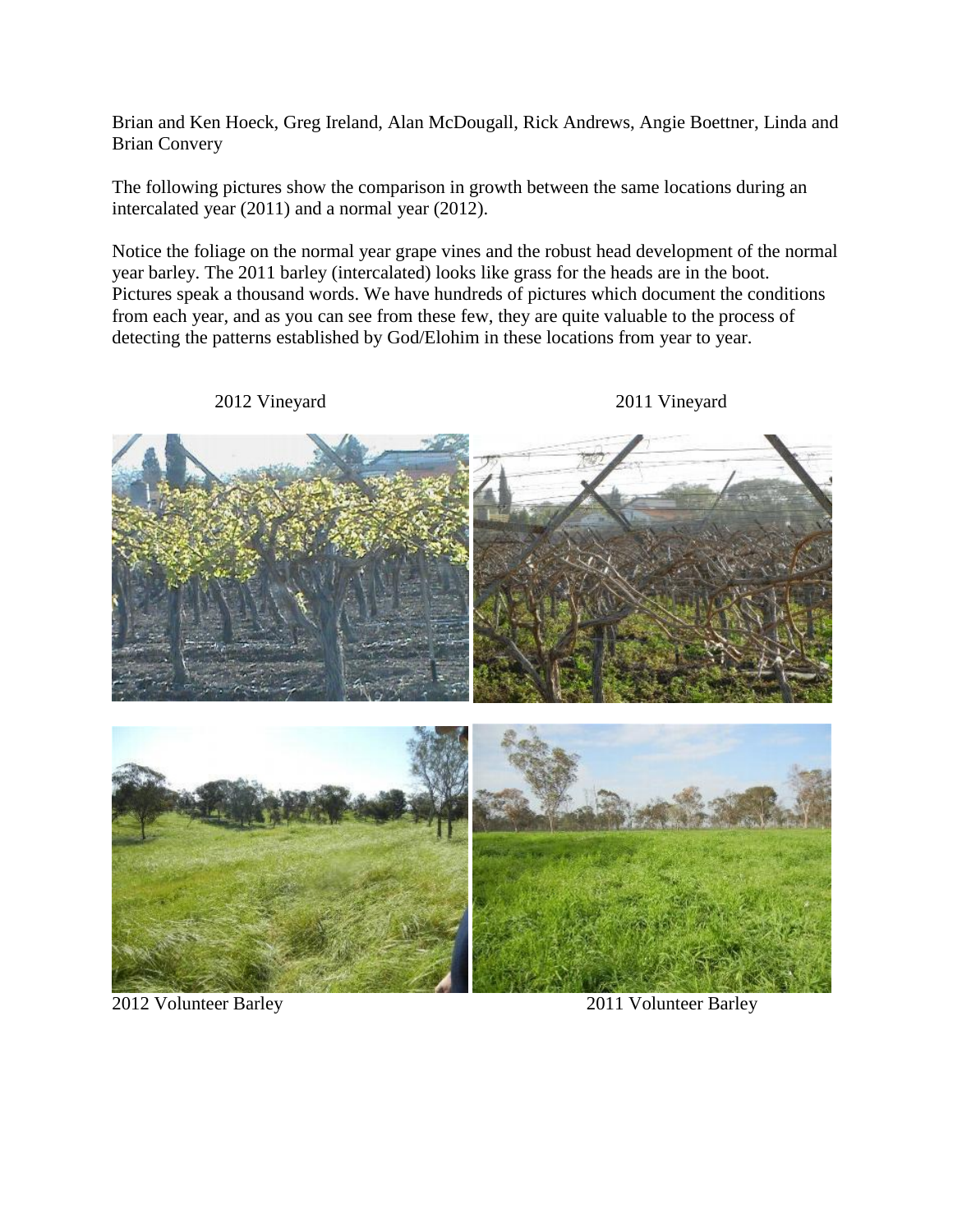Brian and Ken Hoeck, Greg Ireland, Alan McDougall, Rick Andrews, Angie Boettner, Linda and Brian Convery

The following pictures show the comparison in growth between the same locations during an intercalated year (2011) and a normal year (2012).

Notice the foliage on the normal year grape vines and the robust head development of the normal year barley. The 2011 barley (intercalated) looks like grass for the heads are in the boot. Pictures speak a thousand words. We have hundreds of pictures which document the conditions from each year, and as you can see from these few, they are quite valuable to the process of detecting the patterns established by God/Elohim in these locations from year to year.



2012 Volunteer Barley 2011 Volunteer Barley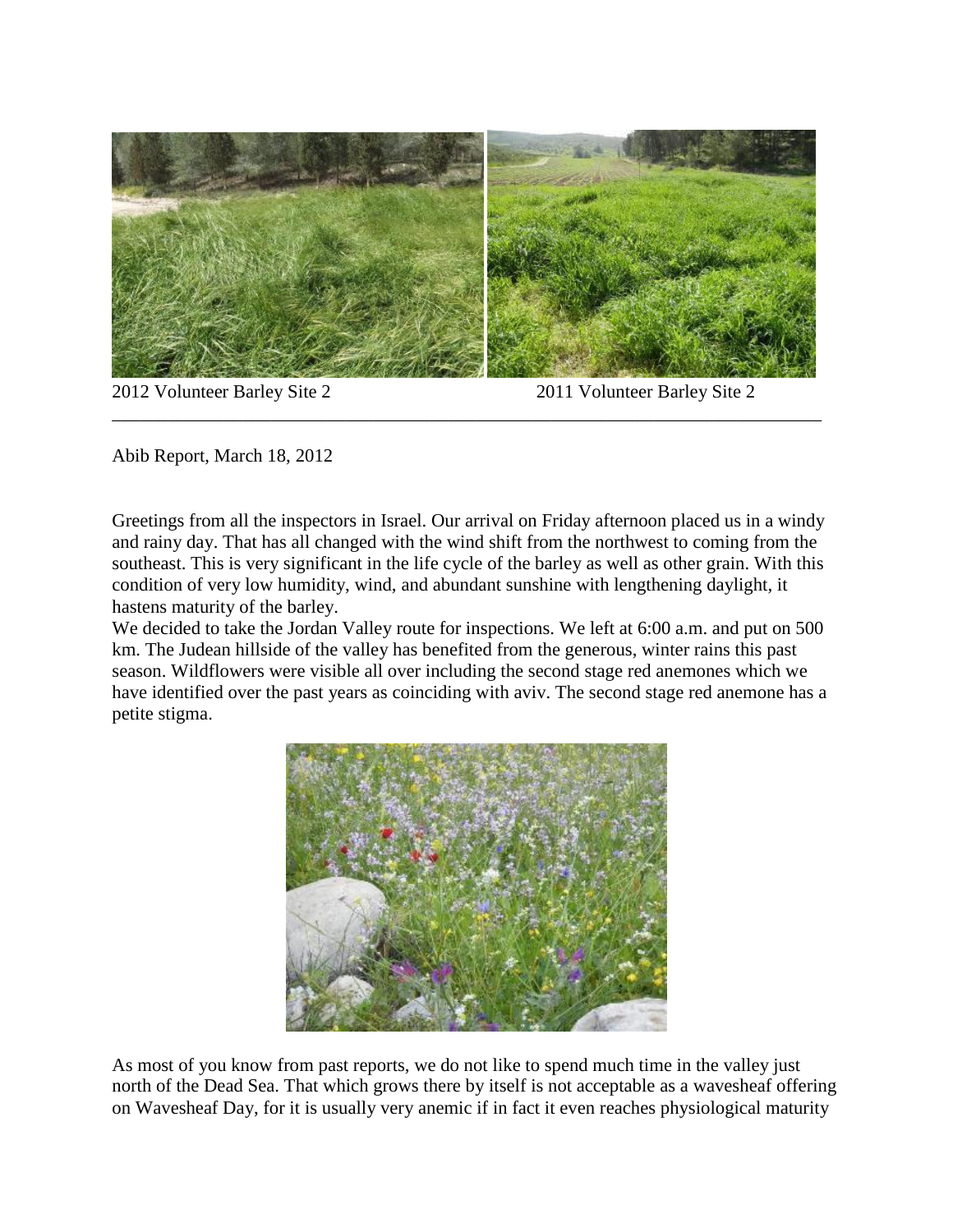

2012 Volunteer Barley Site 2 2011 Volunteer Barley Site 2

Abib Report, March 18, 2012

Greetings from all the inspectors in Israel. Our arrival on Friday afternoon placed us in a windy and rainy day. That has all changed with the wind shift from the northwest to coming from the southeast. This is very significant in the life cycle of the barley as well as other grain. With this condition of very low humidity, wind, and abundant sunshine with lengthening daylight, it hastens maturity of the barley.

\_\_\_\_\_\_\_\_\_\_\_\_\_\_\_\_\_\_\_\_\_\_\_\_\_\_\_\_\_\_\_\_\_\_\_\_\_\_\_\_\_\_\_\_\_\_\_\_\_\_\_\_\_\_\_\_\_\_\_\_\_\_\_\_\_\_\_\_\_\_\_\_\_\_\_\_

We decided to take the Jordan Valley route for inspections. We left at 6:00 a.m. and put on 500 km. The Judean hillside of the valley has benefited from the generous, winter rains this past season. Wildflowers were visible all over including the second stage red anemones which we have identified over the past years as coinciding with aviv. The second stage red anemone has a petite stigma.



As most of you know from past reports, we do not like to spend much time in the valley just north of the Dead Sea. That which grows there by itself is not acceptable as a wavesheaf offering on Wavesheaf Day, for it is usually very anemic if in fact it even reaches physiological maturity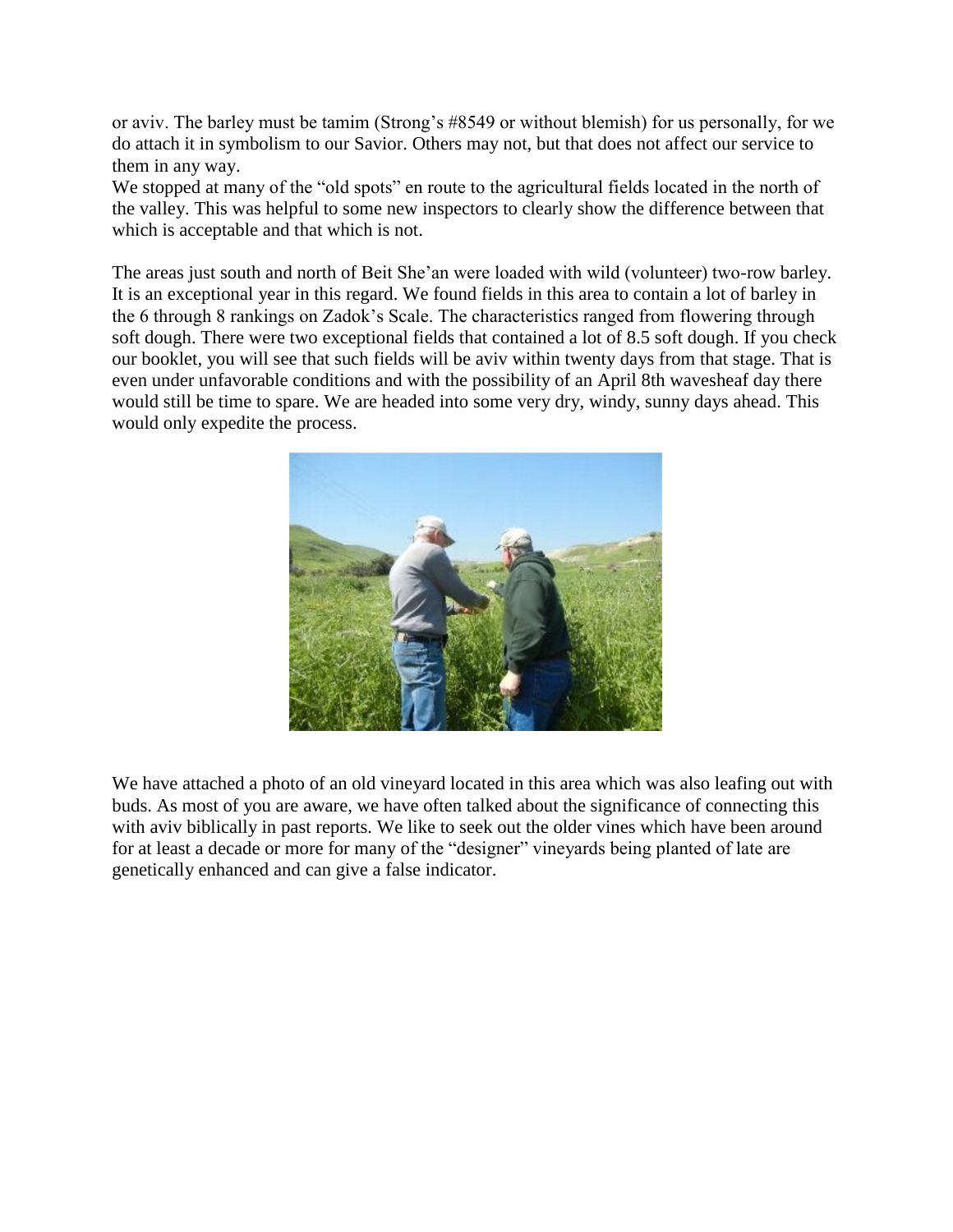or aviv. The barley must be tamim (Strong's #8549 or without blemish) for us personally, for we do attach it in symbolism to our Savior. Others may not, but that does not affect our service to them in any way.

We stopped at many of the "old spots" en route to the agricultural fields located in the north of the valley. This was helpful to some new inspectors to clearly show the difference between that which is acceptable and that which is not.

The areas just south and north of Beit She'an were loaded with wild (volunteer) two-row barley. It is an exceptional year in this regard. We found fields in this area to contain a lot of barley in the 6 through 8 rankings on Zadok's Scale. The characteristics ranged from flowering through soft dough. There were two exceptional fields that contained a lot of 8.5 soft dough. If you check our booklet, you will see that such fields will be aviv within twenty days from that stage. That is even under unfavorable conditions and with the possibility of an April 8th wavesheaf day there would still be time to spare. We are headed into some very dry, windy, sunny days ahead. This would only expedite the process.



We have attached a photo of an old vineyard located in this area which was also leafing out with buds. As most of you are aware, we have often talked about the significance of connecting this with aviv biblically in past reports. We like to seek out the older vines which have been around for at least a decade or more for many of the "designer" vineyards being planted of late are genetically enhanced and can give a false indicator.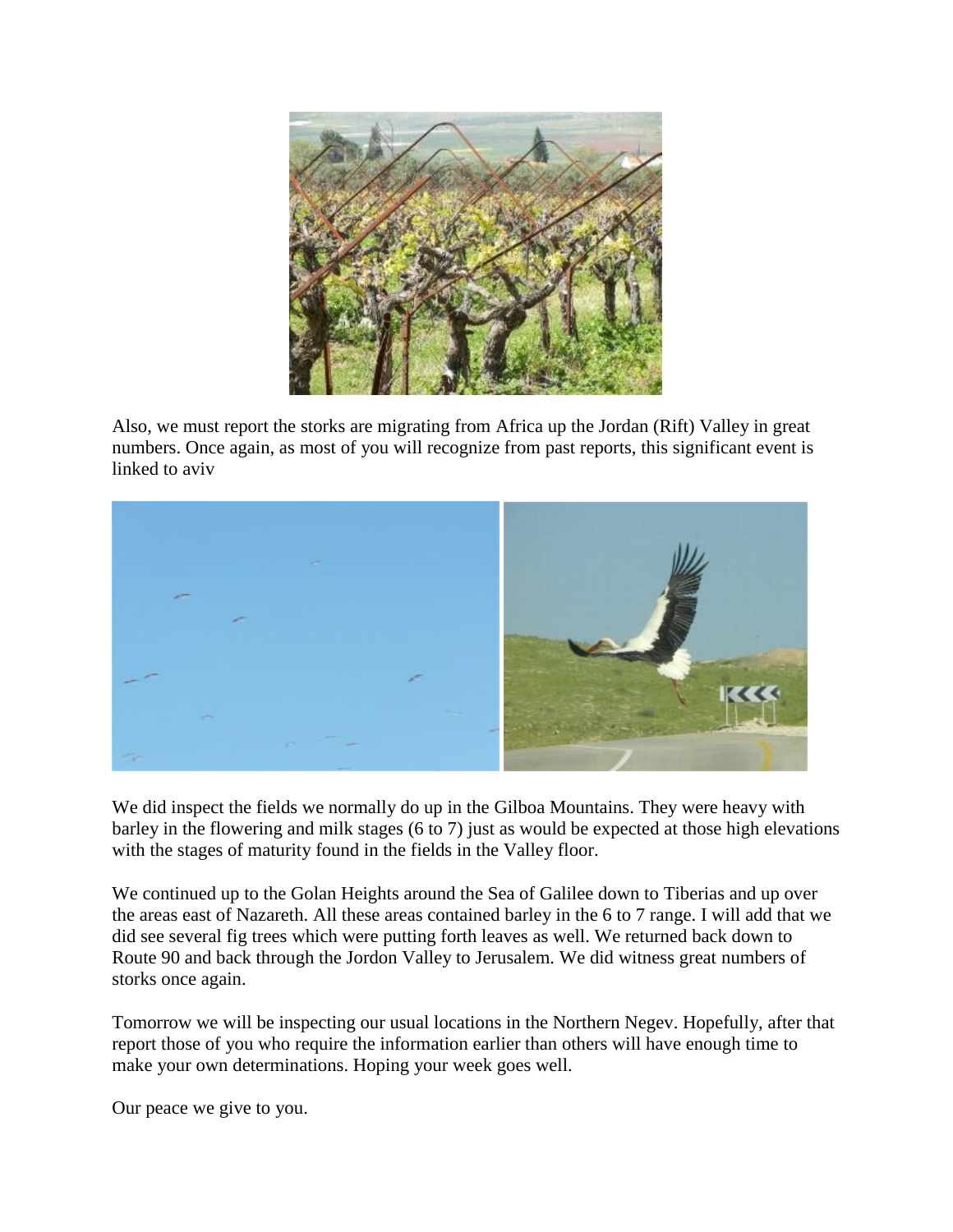

Also, we must report the storks are migrating from Africa up the Jordan (Rift) Valley in great numbers. Once again, as most of you will recognize from past reports, this significant event is linked to aviv



We did inspect the fields we normally do up in the Gilboa Mountains. They were heavy with barley in the flowering and milk stages (6 to 7) just as would be expected at those high elevations with the stages of maturity found in the fields in the Valley floor.

We continued up to the Golan Heights around the Sea of Galilee down to Tiberias and up over the areas east of Nazareth. All these areas contained barley in the 6 to 7 range. I will add that we did see several fig trees which were putting forth leaves as well. We returned back down to Route 90 and back through the Jordon Valley to Jerusalem. We did witness great numbers of storks once again.

Tomorrow we will be inspecting our usual locations in the Northern Negev. Hopefully, after that report those of you who require the information earlier than others will have enough time to make your own determinations. Hoping your week goes well.

Our peace we give to you.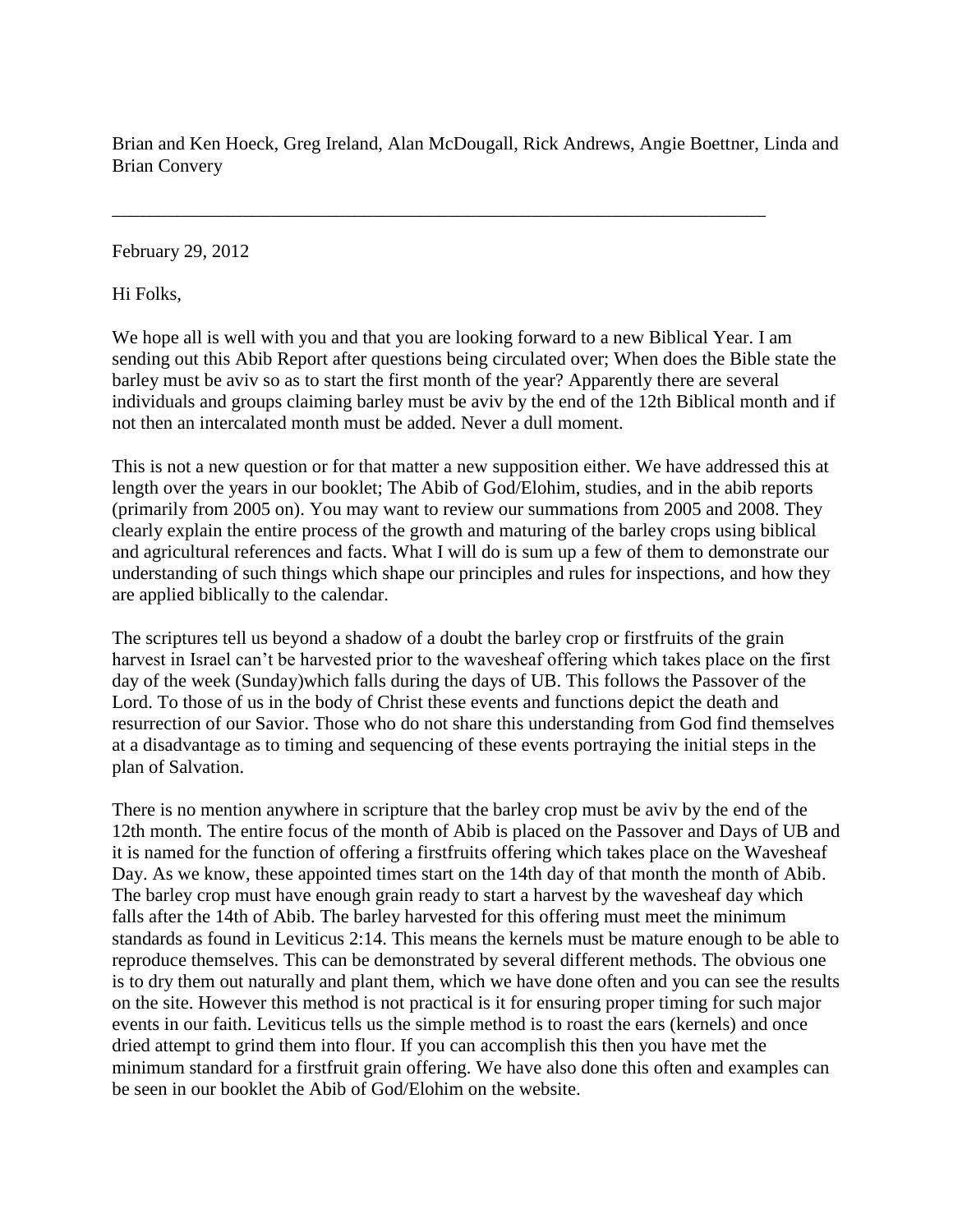Brian and Ken Hoeck, Greg Ireland, Alan McDougall, Rick Andrews, Angie Boettner, Linda and Brian Convery

\_\_\_\_\_\_\_\_\_\_\_\_\_\_\_\_\_\_\_\_\_\_\_\_\_\_\_\_\_\_\_\_\_\_\_\_\_\_\_\_\_\_\_\_\_\_\_\_\_\_\_\_\_\_\_\_\_\_\_\_\_\_\_\_\_\_\_\_\_\_

February 29, 2012

Hi Folks,

We hope all is well with you and that you are looking forward to a new Biblical Year. I am sending out this Abib Report after questions being circulated over; When does the Bible state the barley must be aviv so as to start the first month of the year? Apparently there are several individuals and groups claiming barley must be aviv by the end of the 12th Biblical month and if not then an intercalated month must be added. Never a dull moment.

This is not a new question or for that matter a new supposition either. We have addressed this at length over the years in our booklet; The Abib of God/Elohim, studies, and in the abib reports (primarily from 2005 on). You may want to review our summations from 2005 and 2008. They clearly explain the entire process of the growth and maturing of the barley crops using biblical and agricultural references and facts. What I will do is sum up a few of them to demonstrate our understanding of such things which shape our principles and rules for inspections, and how they are applied biblically to the calendar.

The scriptures tell us beyond a shadow of a doubt the barley crop or firstfruits of the grain harvest in Israel can't be harvested prior to the wavesheaf offering which takes place on the first day of the week (Sunday)which falls during the days of UB. This follows the Passover of the Lord. To those of us in the body of Christ these events and functions depict the death and resurrection of our Savior. Those who do not share this understanding from God find themselves at a disadvantage as to timing and sequencing of these events portraying the initial steps in the plan of Salvation.

There is no mention anywhere in scripture that the barley crop must be aviv by the end of the 12th month. The entire focus of the month of Abib is placed on the Passover and Days of UB and it is named for the function of offering a firstfruits offering which takes place on the Wavesheaf Day. As we know, these appointed times start on the 14th day of that month the month of Abib. The barley crop must have enough grain ready to start a harvest by the wavesheaf day which falls after the 14th of Abib. The barley harvested for this offering must meet the minimum standards as found in Leviticus 2:14. This means the kernels must be mature enough to be able to reproduce themselves. This can be demonstrated by several different methods. The obvious one is to dry them out naturally and plant them, which we have done often and you can see the results on the site. However this method is not practical is it for ensuring proper timing for such major events in our faith. Leviticus tells us the simple method is to roast the ears (kernels) and once dried attempt to grind them into flour. If you can accomplish this then you have met the minimum standard for a firstfruit grain offering. We have also done this often and examples can be seen in our booklet the Abib of God/Elohim on the website.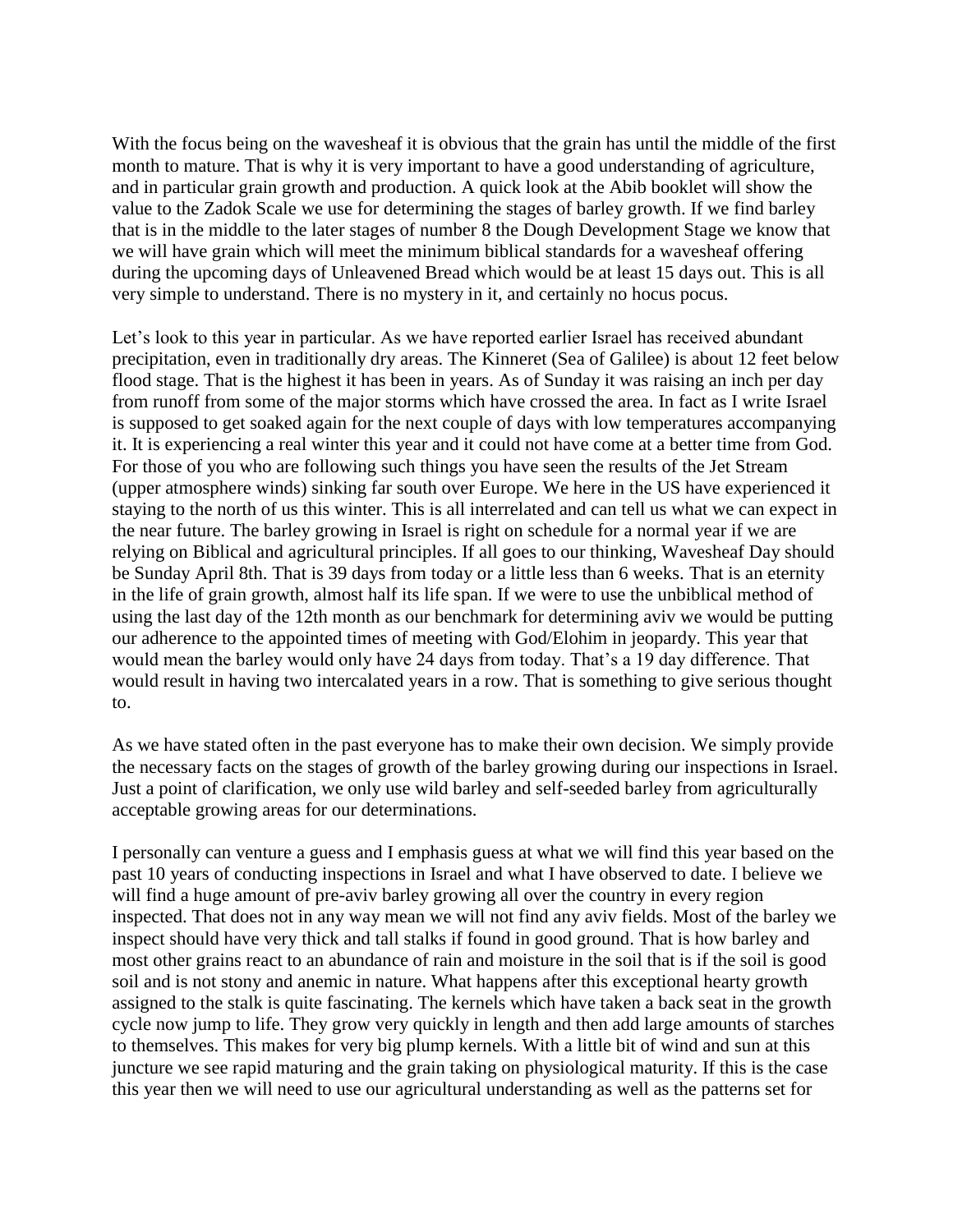With the focus being on the wavesheaf it is obvious that the grain has until the middle of the first month to mature. That is why it is very important to have a good understanding of agriculture, and in particular grain growth and production. A quick look at the Abib booklet will show the value to the Zadok Scale we use for determining the stages of barley growth. If we find barley that is in the middle to the later stages of number 8 the Dough Development Stage we know that we will have grain which will meet the minimum biblical standards for a wavesheaf offering during the upcoming days of Unleavened Bread which would be at least 15 days out. This is all very simple to understand. There is no mystery in it, and certainly no hocus pocus.

Let's look to this year in particular. As we have reported earlier Israel has received abundant precipitation, even in traditionally dry areas. The Kinneret (Sea of Galilee) is about 12 feet below flood stage. That is the highest it has been in years. As of Sunday it was raising an inch per day from runoff from some of the major storms which have crossed the area. In fact as I write Israel is supposed to get soaked again for the next couple of days with low temperatures accompanying it. It is experiencing a real winter this year and it could not have come at a better time from God. For those of you who are following such things you have seen the results of the Jet Stream (upper atmosphere winds) sinking far south over Europe. We here in the US have experienced it staying to the north of us this winter. This is all interrelated and can tell us what we can expect in the near future. The barley growing in Israel is right on schedule for a normal year if we are relying on Biblical and agricultural principles. If all goes to our thinking, Wavesheaf Day should be Sunday April 8th. That is 39 days from today or a little less than 6 weeks. That is an eternity in the life of grain growth, almost half its life span. If we were to use the unbiblical method of using the last day of the 12th month as our benchmark for determining aviv we would be putting our adherence to the appointed times of meeting with God/Elohim in jeopardy. This year that would mean the barley would only have 24 days from today. That's a 19 day difference. That would result in having two intercalated years in a row. That is something to give serious thought to.

As we have stated often in the past everyone has to make their own decision. We simply provide the necessary facts on the stages of growth of the barley growing during our inspections in Israel. Just a point of clarification, we only use wild barley and self-seeded barley from agriculturally acceptable growing areas for our determinations.

I personally can venture a guess and I emphasis guess at what we will find this year based on the past 10 years of conducting inspections in Israel and what I have observed to date. I believe we will find a huge amount of pre-aviv barley growing all over the country in every region inspected. That does not in any way mean we will not find any aviv fields. Most of the barley we inspect should have very thick and tall stalks if found in good ground. That is how barley and most other grains react to an abundance of rain and moisture in the soil that is if the soil is good soil and is not stony and anemic in nature. What happens after this exceptional hearty growth assigned to the stalk is quite fascinating. The kernels which have taken a back seat in the growth cycle now jump to life. They grow very quickly in length and then add large amounts of starches to themselves. This makes for very big plump kernels. With a little bit of wind and sun at this juncture we see rapid maturing and the grain taking on physiological maturity. If this is the case this year then we will need to use our agricultural understanding as well as the patterns set for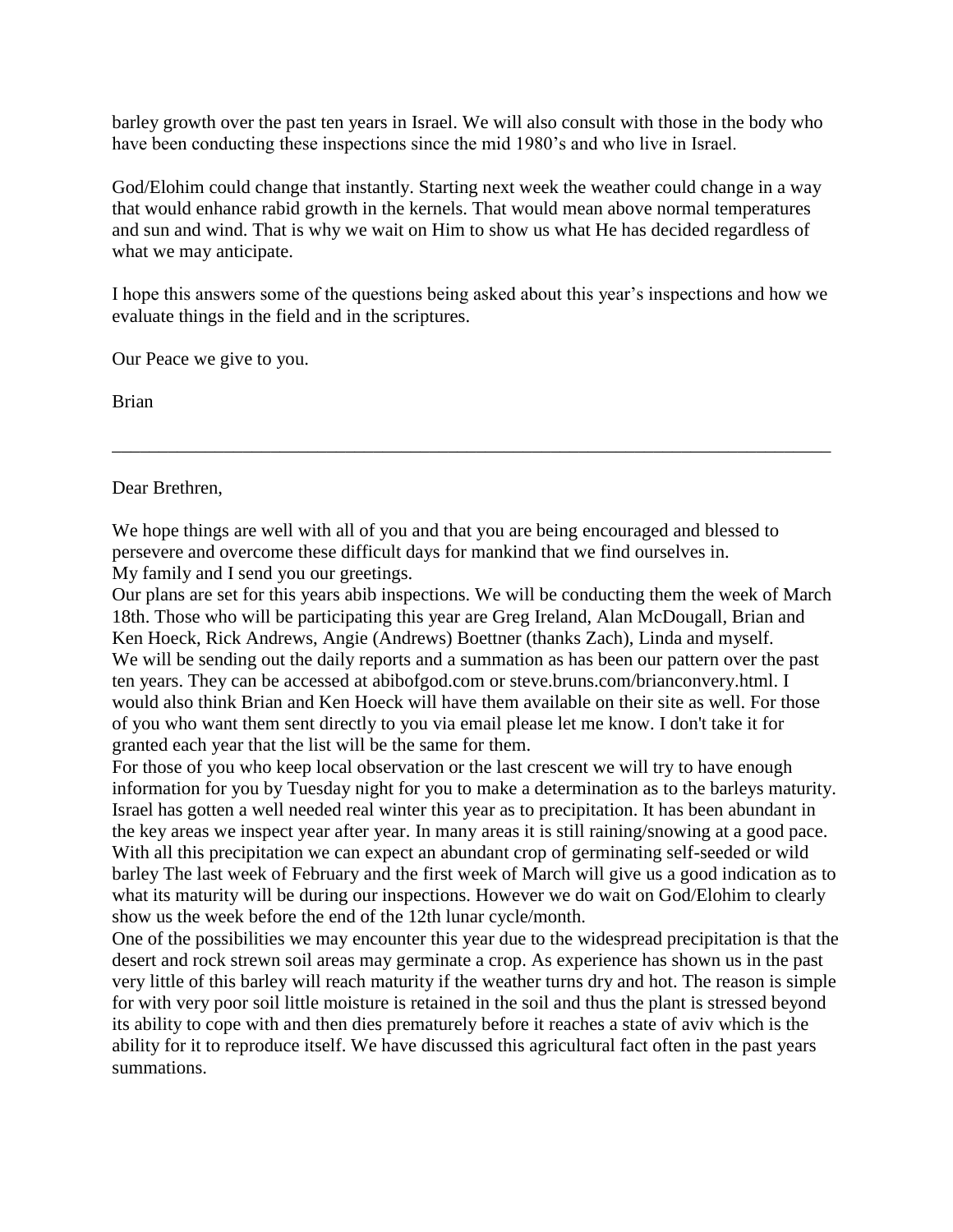barley growth over the past ten years in Israel. We will also consult with those in the body who have been conducting these inspections since the mid 1980's and who live in Israel.

God/Elohim could change that instantly. Starting next week the weather could change in a way that would enhance rabid growth in the kernels. That would mean above normal temperatures and sun and wind. That is why we wait on Him to show us what He has decided regardless of what we may anticipate.

I hope this answers some of the questions being asked about this year's inspections and how we evaluate things in the field and in the scriptures.

\_\_\_\_\_\_\_\_\_\_\_\_\_\_\_\_\_\_\_\_\_\_\_\_\_\_\_\_\_\_\_\_\_\_\_\_\_\_\_\_\_\_\_\_\_\_\_\_\_\_\_\_\_\_\_\_\_\_\_\_\_\_\_\_\_\_\_\_\_\_\_\_\_\_\_\_\_

Our Peace we give to you.

Brian

## Dear Brethren,

We hope things are well with all of you and that you are being encouraged and blessed to persevere and overcome these difficult days for mankind that we find ourselves in. My family and I send you our greetings.

Our plans are set for this years abib inspections. We will be conducting them the week of March 18th. Those who will be participating this year are Greg Ireland, Alan McDougall, Brian and Ken Hoeck, Rick Andrews, Angie (Andrews) Boettner (thanks Zach), Linda and myself. We will be sending out the daily reports and a summation as has been our pattern over the past ten years. They can be accessed at abibofgod.com or steve.bruns.com/brianconvery.html. I would also think Brian and Ken Hoeck will have them available on their site as well. For those of you who want them sent directly to you via email please let me know. I don't take it for granted each year that the list will be the same for them.

For those of you who keep local observation or the last crescent we will try to have enough information for you by Tuesday night for you to make a determination as to the barleys maturity. Israel has gotten a well needed real winter this year as to precipitation. It has been abundant in the key areas we inspect year after year. In many areas it is still raining/snowing at a good pace. With all this precipitation we can expect an abundant crop of germinating self-seeded or wild barley The last week of February and the first week of March will give us a good indication as to what its maturity will be during our inspections. However we do wait on God/Elohim to clearly show us the week before the end of the 12th lunar cycle/month.

One of the possibilities we may encounter this year due to the widespread precipitation is that the desert and rock strewn soil areas may germinate a crop. As experience has shown us in the past very little of this barley will reach maturity if the weather turns dry and hot. The reason is simple for with very poor soil little moisture is retained in the soil and thus the plant is stressed beyond its ability to cope with and then dies prematurely before it reaches a state of aviv which is the ability for it to reproduce itself. We have discussed this agricultural fact often in the past years summations.